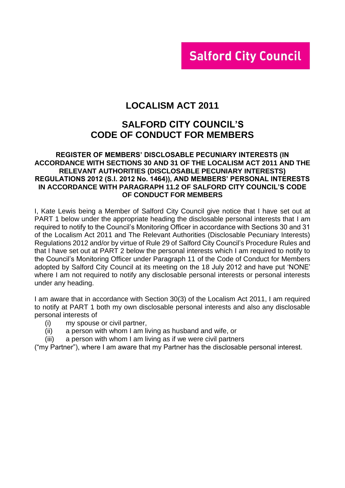# **Salford City Council**

# **LOCALISM ACT 2011**

# **SALFORD CITY COUNCIL'S CODE OF CONDUCT FOR MEMBERS**

### **REGISTER OF MEMBERS' DISCLOSABLE PECUNIARY INTERESTS (IN ACCORDANCE WITH SECTIONS 30 AND 31 OF THE LOCALISM ACT 2011 AND THE RELEVANT AUTHORITIES (DISCLOSABLE PECUNIARY INTERESTS) REGULATIONS 2012 (S.I. 2012 No. 1464)), AND MEMBERS' PERSONAL INTERESTS IN ACCORDANCE WITH PARAGRAPH 11.2 OF SALFORD CITY COUNCIL'S CODE OF CONDUCT FOR MEMBERS**

I, Kate Lewis being a Member of Salford City Council give notice that I have set out at PART 1 below under the appropriate heading the disclosable personal interests that I am required to notify to the Council's Monitoring Officer in accordance with Sections 30 and 31 of the Localism Act 2011 and The Relevant Authorities (Disclosable Pecuniary Interests) Regulations 2012 and/or by virtue of Rule 29 of Salford City Council's Procedure Rules and that I have set out at PART 2 below the personal interests which I am required to notify to the Council's Monitoring Officer under Paragraph 11 of the Code of Conduct for Members adopted by Salford City Council at its meeting on the 18 July 2012 and have put 'NONE' where I am not required to notify any disclosable personal interests or personal interests under any heading.

I am aware that in accordance with Section 30(3) of the Localism Act 2011, I am required to notify at PART 1 both my own disclosable personal interests and also any disclosable personal interests of

- (i) my spouse or civil partner,
- (ii) a person with whom I am living as husband and wife, or
- (iii) a person with whom I am living as if we were civil partners

("my Partner"), where I am aware that my Partner has the disclosable personal interest.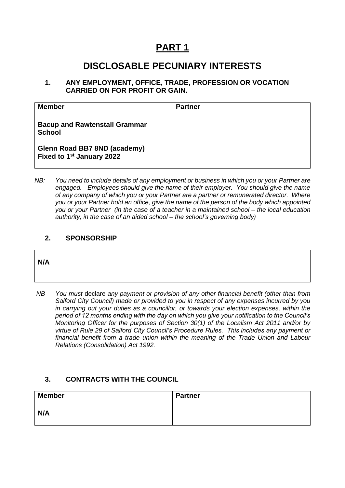# **PART 1**

# **DISCLOSABLE PECUNIARY INTERESTS**

### **1. ANY EMPLOYMENT, OFFICE, TRADE, PROFESSION OR VOCATION CARRIED ON FOR PROFIT OR GAIN.**

| <b>Member</b>                                                         | <b>Partner</b> |
|-----------------------------------------------------------------------|----------------|
| <b>Bacup and Rawtenstall Grammar</b><br><b>School</b>                 |                |
| Glenn Road BB7 8ND (academy)<br>Fixed to 1 <sup>st</sup> January 2022 |                |

*NB: You need to include details of any employment or business in which you or your Partner are engaged. Employees should give the name of their employer. You should give the name of any company of which you or your Partner are a partner or remunerated director. Where you or your Partner hold an office, give the name of the person of the body which appointed you or your Partner (in the case of a teacher in a maintained school – the local education authority; in the case of an aided school – the school's governing body)*

## **2. SPONSORSHIP**

### **N/A**

*NB You must* declare *any payment or provision of any other financial benefit (other than from Salford City Council) made or provided to you in respect of any expenses incurred by you in carrying out your duties as a councillor, or towards your election expenses, within the period of 12 months ending with the day on which you give your notification to the Council's Monitoring Officer for the purposes of Section 30(1) of the Localism Act 2011 and/or by virtue of Rule 29 of Salford City Council's Procedure Rules. This includes any payment or financial benefit from a trade union within the meaning of the Trade Union and Labour Relations (Consolidation) Act 1992.* 

# **3. CONTRACTS WITH THE COUNCIL**

| <b>Member</b> | <b>Partner</b> |
|---------------|----------------|
| N/A           |                |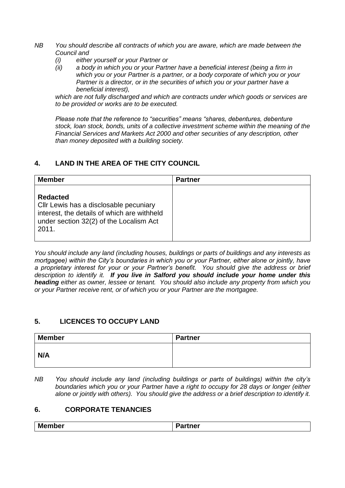- *NB You should describe all contracts of which you are aware, which are made between the Council and* 
	- *(i) either yourself or your Partner or*
	- *(ii) a body in which you or your Partner have a beneficial interest (being a firm in which you or your Partner is a partner, or a body corporate of which you or your Partner is a director, or in the securities of which you or your partner have a beneficial interest),*

*which are not fully discharged and which are contracts under which goods or services are to be provided or works are to be executed.*

*Please note that the reference to "securities" means "shares, debentures, debenture stock, loan stock, bonds, units of a collective investment scheme within the meaning of the Financial Services and Markets Act 2000 and other securities of any description, other than money deposited with a building society.*

# **4. LAND IN THE AREA OF THE CITY COUNCIL**

| <b>Member</b>                                                                                                                                                | <b>Partner</b> |
|--------------------------------------------------------------------------------------------------------------------------------------------------------------|----------------|
| <b>Redacted</b><br>Cllr Lewis has a disclosable pecuniary<br>interest, the details of which are withheld<br>under section 32(2) of the Localism Act<br>2011. |                |

*You should include any land (including houses, buildings or parts of buildings and any interests as mortgagee) within the City's boundaries in which you or your Partner, either alone or jointly, have a proprietary interest for your or your Partner's benefit. You should give the address or brief description to identify it. If you live in Salford you should include your home under this heading either as owner, lessee or tenant. You should also include any property from which you or your Partner receive rent, or of which you or your Partner are the mortgagee.*

# **5. LICENCES TO OCCUPY LAND**

| <b>Member</b> | <b>Partner</b> |
|---------------|----------------|
| N/A           |                |

*NB You should include any land (including buildings or parts of buildings) within the city's boundaries which you or your Partner have a right to occupy for 28 days or longer (either alone or jointly with others). You should give the address or a brief description to identify it.*

# **6. CORPORATE TENANCIES**

|  | <b>Member</b><br>-<br>'artner |  |
|--|-------------------------------|--|
|--|-------------------------------|--|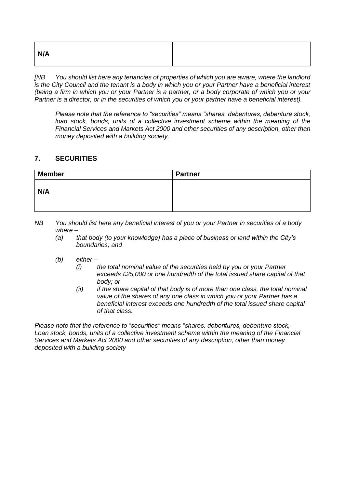| N/A |  |
|-----|--|
|     |  |

*[NB You should list here any tenancies of properties of which you are aware, where the landlord is the City Council and the tenant is a body in which you or your Partner have a beneficial interest (being a firm in which you or your Partner is a partner, or a body corporate of which you or your Partner is a director, or in the securities of which you or your partner have a beneficial interest).* 

*Please note that the reference to "securities" means "shares, debentures, debenture stock, loan stock, bonds, units of a collective investment scheme within the meaning of the Financial Services and Markets Act 2000 and other securities of any description, other than money deposited with a building society.*

## **7. SECURITIES**

| <b>Member</b> | <b>Partner</b> |
|---------------|----------------|
| N/A           |                |

- *NB You should list here any beneficial interest of you or your Partner in securities of a body where –*
	- *(a) that body (to your knowledge) has a place of business or land within the City's boundaries; and*
	- *(b) either –*
		- *(i) the total nominal value of the securities held by you or your Partner exceeds £25,000 or one hundredth of the total issued share capital of that body; or*
		- *(ii) if the share capital of that body is of more than one class, the total nominal value of the shares of any one class in which you or your Partner has a beneficial interest exceeds one hundredth of the total issued share capital of that class.*

*Please note that the reference to "securities" means "shares, debentures, debenture stock, Loan stock, bonds, units of a collective investment scheme within the meaning of the Financial Services and Markets Act 2000 and other securities of any description, other than money deposited with a building society*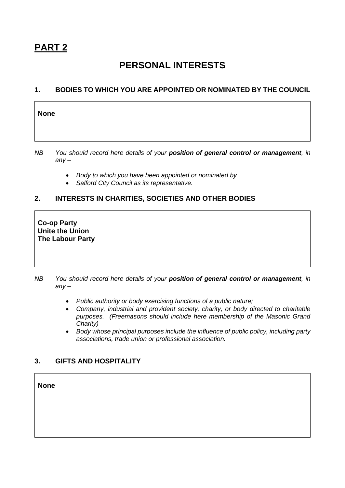$\Gamma$ 

# **PERSONAL INTERESTS**

## **1. BODIES TO WHICH YOU ARE APPOINTED OR NOMINATED BY THE COUNCIL**

| <b>None</b>              |  |  |              |  |  |                                                                                                                 |  |  |               |
|--------------------------|--|--|--------------|--|--|-----------------------------------------------------------------------------------------------------------------|--|--|---------------|
|                          |  |  |              |  |  |                                                                                                                 |  |  |               |
| $\overline{\phantom{a}}$ |  |  | $\mathbf{v}$ |  |  | the contract of the contract of the contract of the contract of the contract of the contract of the contract of |  |  | $\sim$ $\sim$ |

*NB You should record here details of your position of general control or management, in any –*

- *Body to which you have been appointed or nominated by*
- *Salford City Council as its representative.*

# **2. INTERESTS IN CHARITIES, SOCIETIES AND OTHER BODIES**

**Co-op Party Unite the Union The Labour Party**

*NB You should record here details of your position of general control or management, in any –*

- *Public authority or body exercising functions of a public nature;*
- *Company, industrial and provident society, charity, or body directed to charitable purposes. (Freemasons should include here membership of the Masonic Grand Charity)*
- *Body whose principal purposes include the influence of public policy, including party associations, trade union or professional association.*

# **3. GIFTS AND HOSPITALITY**

**None**